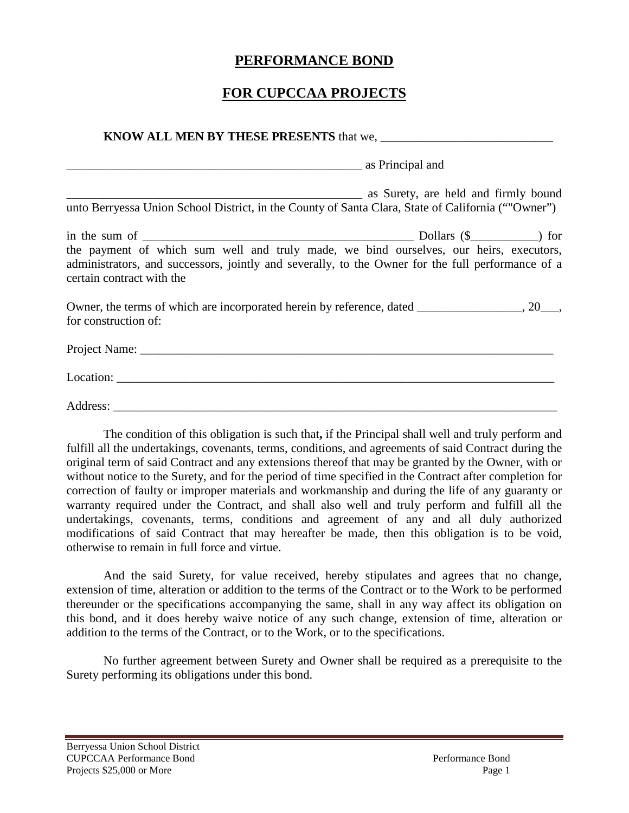## **PERFORMANCE BOND**

## **FOR CUPCCAA PROJECTS**

| unto Berryessa Union School District, in the County of Santa Clara, State of California (""Owner")                                                                                                                       |  |  |  |
|--------------------------------------------------------------------------------------------------------------------------------------------------------------------------------------------------------------------------|--|--|--|
| the payment of which sum well and truly made, we bind ourselves, our heirs, executors,<br>administrators, and successors, jointly and severally, to the Owner for the full performance of a<br>certain contract with the |  |  |  |
| Owner, the terms of which are incorporated herein by reference, dated _______________, 20___,<br>for construction of:                                                                                                    |  |  |  |
|                                                                                                                                                                                                                          |  |  |  |
|                                                                                                                                                                                                                          |  |  |  |
|                                                                                                                                                                                                                          |  |  |  |

The condition of this obligation is such that**,** if the Principal shall well and truly perform and fulfill all the undertakings, covenants, terms, conditions, and agreements of said Contract during the original term of said Contract and any extensions thereof that may be granted by the Owner, with or without notice to the Surety, and for the period of time specified in the Contract after completion for correction of faulty or improper materials and workmanship and during the life of any guaranty or warranty required under the Contract, and shall also well and truly perform and fulfill all the undertakings, covenants, terms, conditions and agreement of any and all duly authorized modifications of said Contract that may hereafter be made, then this obligation is to be void, otherwise to remain in full force and virtue.

And the said Surety, for value received, hereby stipulates and agrees that no change, extension of time, alteration or addition to the terms of the Contract or to the Work to be performed thereunder or the specifications accompanying the same, shall in any way affect its obligation on this bond, and it does hereby waive notice of any such change, extension of time, alteration or addition to the terms of the Contract, or to the Work, or to the specifications.

No further agreement between Surety and Owner shall be required as a prerequisite to the Surety performing its obligations under this bond.